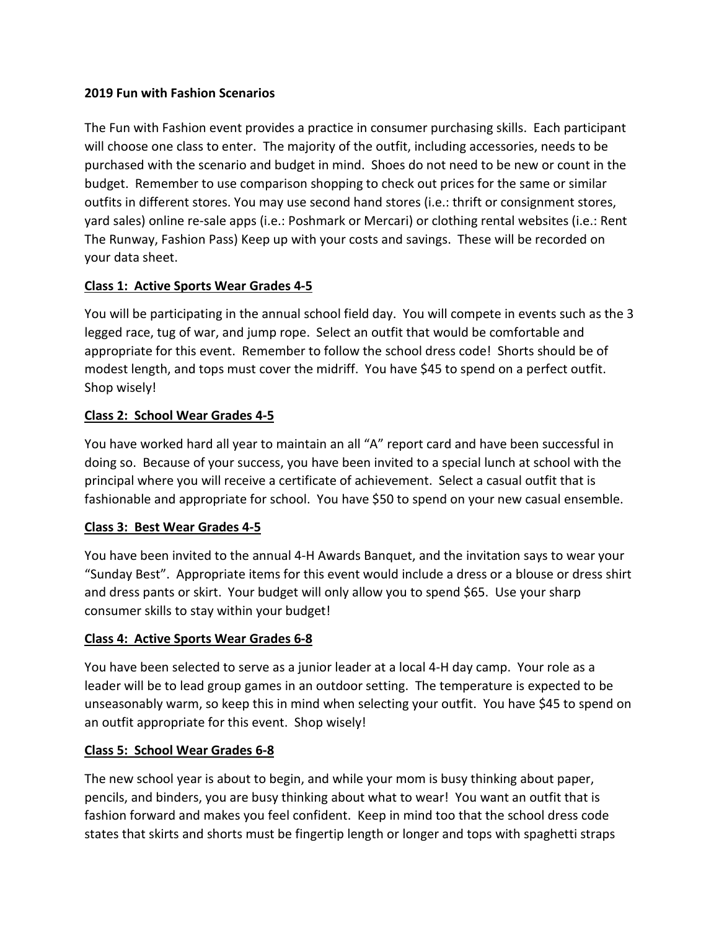#### **2019 Fun with Fashion Scenarios**

The Fun with Fashion event provides a practice in consumer purchasing skills. Each participant will choose one class to enter. The majority of the outfit, including accessories, needs to be purchased with the scenario and budget in mind. Shoes do not need to be new or count in the budget. Remember to use comparison shopping to check out prices for the same or similar outfits in different stores. You may use second hand stores (i.e.: thrift or consignment stores, yard sales) online re-sale apps (i.e.: Poshmark or Mercari) or clothing rental websites (i.e.: Rent The Runway, Fashion Pass) Keep up with your costs and savings. These will be recorded on your data sheet.

### **Class 1: Active Sports Wear Grades 4-5**

You will be participating in the annual school field day. You will compete in events such as the 3 legged race, tug of war, and jump rope. Select an outfit that would be comfortable and appropriate for this event. Remember to follow the school dress code! Shorts should be of modest length, and tops must cover the midriff. You have \$45 to spend on a perfect outfit. Shop wisely!

## **Class 2: School Wear Grades 4-5**

You have worked hard all year to maintain an all "A" report card and have been successful in doing so. Because of your success, you have been invited to a special lunch at school with the principal where you will receive a certificate of achievement. Select a casual outfit that is fashionable and appropriate for school. You have \$50 to spend on your new casual ensemble.

### **Class 3: Best Wear Grades 4-5**

You have been invited to the annual 4-H Awards Banquet, and the invitation says to wear your "Sunday Best". Appropriate items for this event would include a dress or a blouse or dress shirt and dress pants or skirt. Your budget will only allow you to spend \$65. Use your sharp consumer skills to stay within your budget!

### **Class 4: Active Sports Wear Grades 6-8**

You have been selected to serve as a junior leader at a local 4-H day camp. Your role as a leader will be to lead group games in an outdoor setting. The temperature is expected to be unseasonably warm, so keep this in mind when selecting your outfit. You have \$45 to spend on an outfit appropriate for this event. Shop wisely!

### **Class 5: School Wear Grades 6-8**

The new school year is about to begin, and while your mom is busy thinking about paper, pencils, and binders, you are busy thinking about what to wear! You want an outfit that is fashion forward and makes you feel confident. Keep in mind too that the school dress code states that skirts and shorts must be fingertip length or longer and tops with spaghetti straps